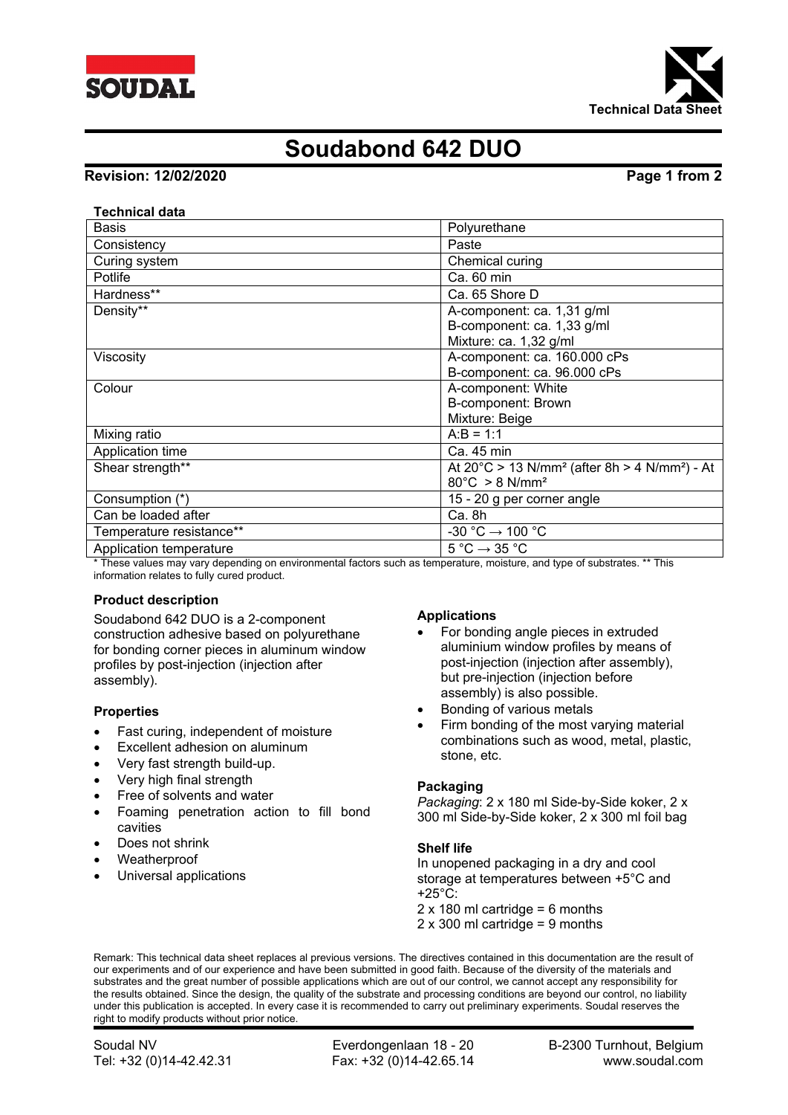



# **Soudabond 642 DUO**

# **Revision: 12/02/2020 Page 1 from 2**

### **Technical data**

| <b>Basis</b>             | Polyurethane                                                                    |
|--------------------------|---------------------------------------------------------------------------------|
| Consistency              | Paste                                                                           |
| Curing system            | Chemical curing                                                                 |
| Potlife                  | Ca. 60 min                                                                      |
| Hardness**               | Ca. 65 Shore D                                                                  |
| Density**                | A-component: ca. 1,31 g/ml                                                      |
|                          | B-component: ca. 1,33 g/ml                                                      |
|                          | Mixture: ca. 1,32 g/ml                                                          |
| Viscosity                | A-component: ca. 160.000 cPs                                                    |
|                          | B-component: ca. 96.000 cPs                                                     |
| Colour                   | A-component: White                                                              |
|                          | B-component: Brown                                                              |
|                          | Mixture: Beige                                                                  |
| Mixing ratio             | $A:B = 1:1$                                                                     |
| Application time         | Ca. 45 min                                                                      |
| Shear strength**         | At $20^{\circ}$ C > 13 N/mm <sup>2</sup> (after 8h > 4 N/mm <sup>2</sup> ) - At |
|                          | $80^{\circ}$ C > 8 N/mm <sup>2</sup>                                            |
| Consumption (*)          | 15 - 20 g per corner angle                                                      |
| Can be loaded after      | Ca. 8h                                                                          |
| Temperature resistance** | -30 °C $\rightarrow$ 100 °C                                                     |
| Application temperature  | $5^{\circ}$ C $\rightarrow$ 35 °C                                               |

\* These values may vary depending on environmental factors such as temperature, moisture, and type of substrates. \*\* This information relates to fully cured product.

# **Product description**

Soudabond 642 DUO is a 2-component construction adhesive based on polyurethane for bonding corner pieces in aluminum window profiles by post-injection (injection after assembly).

### **Properties**

- Fast curing, independent of moisture
- Excellent adhesion on aluminum
- Very fast strength build-up.
- Very high final strength
- Free of solvents and water
- Foaming penetration action to fill bond cavities
- Does not shrink
- Weatherproof
- Universal applications

### **Applications**

- For bonding angle pieces in extruded aluminium window profiles by means of post-injection (injection after assembly), but pre-injection (injection before assembly) is also possible.
- Bonding of various metals
- Firm bonding of the most varying material combinations such as wood, metal, plastic, stone, etc.

### **Packaging**

*Packaging*: 2 x 180 ml Side-by-Side koker, 2 x 300 ml Side-by-Side koker, 2 x 300 ml foil bag

### **Shelf life**

In unopened packaging in a dry and cool storage at temperatures between +5°C and  $+25^{\circ}$ C:

- $2 \times 180$  ml cartridge = 6 months
- 2 x 300 ml cartridge = 9 months

Remark: This technical data sheet replaces al previous versions. The directives contained in this documentation are the result of our experiments and of our experience and have been submitted in good faith. Because of the diversity of the materials and substrates and the great number of possible applications which are out of our control, we cannot accept any responsibility for the results obtained. Since the design, the quality of the substrate and processing conditions are beyond our control, no liability under this publication is accepted. In every case it is recommended to carry out preliminary experiments. Soudal reserves the right to modify products without prior notice.